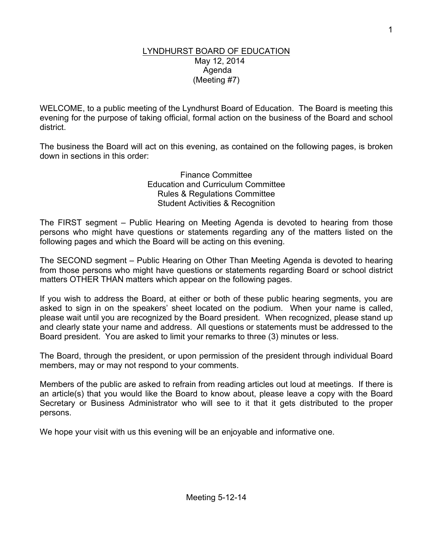#### LYNDHURST BOARD OF EDUCATION May 12, 2014 Agenda (Meeting #7)

WELCOME, to a public meeting of the Lyndhurst Board of Education. The Board is meeting this evening for the purpose of taking official, formal action on the business of the Board and school district.

The business the Board will act on this evening, as contained on the following pages, is broken down in sections in this order:

> Finance Committee Education and Curriculum Committee Rules & Regulations Committee Student Activities & Recognition

The FIRST segment – Public Hearing on Meeting Agenda is devoted to hearing from those persons who might have questions or statements regarding any of the matters listed on the following pages and which the Board will be acting on this evening.

The SECOND segment – Public Hearing on Other Than Meeting Agenda is devoted to hearing from those persons who might have questions or statements regarding Board or school district matters OTHER THAN matters which appear on the following pages.

If you wish to address the Board, at either or both of these public hearing segments, you are asked to sign in on the speakers' sheet located on the podium. When your name is called, please wait until you are recognized by the Board president. When recognized, please stand up and clearly state your name and address. All questions or statements must be addressed to the Board president. You are asked to limit your remarks to three (3) minutes or less.

The Board, through the president, or upon permission of the president through individual Board members, may or may not respond to your comments.

Members of the public are asked to refrain from reading articles out loud at meetings. If there is an article(s) that you would like the Board to know about, please leave a copy with the Board Secretary or Business Administrator who will see to it that it gets distributed to the proper persons.

We hope your visit with us this evening will be an enjoyable and informative one.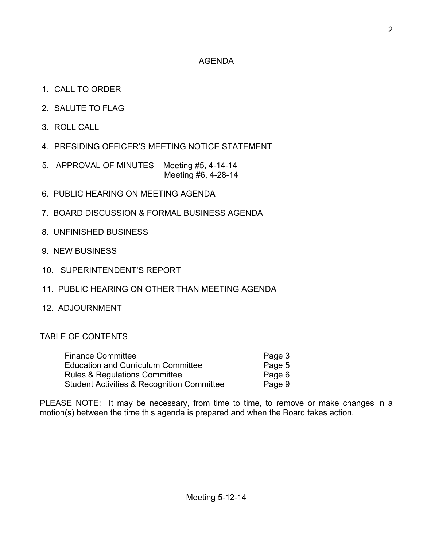## AGENDA

- 1. CALL TO ORDER
- 2. SALUTE TO FLAG
- 3. ROLL CALL
- 4. PRESIDING OFFICER'S MEETING NOTICE STATEMENT
- 5. APPROVAL OF MINUTES Meeting #5, 4-14-14 Meeting #6, 4-28-14
- 6. PUBLIC HEARING ON MEETING AGENDA
- 7. BOARD DISCUSSION & FORMAL BUSINESS AGENDA
- 8. UNFINISHED BUSINESS
- 9. NEW BUSINESS
- 10. SUPERINTENDENT'S REPORT
- 11. PUBLIC HEARING ON OTHER THAN MEETING AGENDA
- 12. ADJOURNMENT

### TABLE OF CONTENTS

| <b>Finance Committee</b>                   | Page 3 |  |
|--------------------------------------------|--------|--|
| <b>Education and Curriculum Committee</b>  | Page 5 |  |
| Rules & Regulations Committee              | Page 6 |  |
| Student Activities & Recognition Committee | Page 9 |  |

PLEASE NOTE: It may be necessary, from time to time, to remove or make changes in a motion(s) between the time this agenda is prepared and when the Board takes action.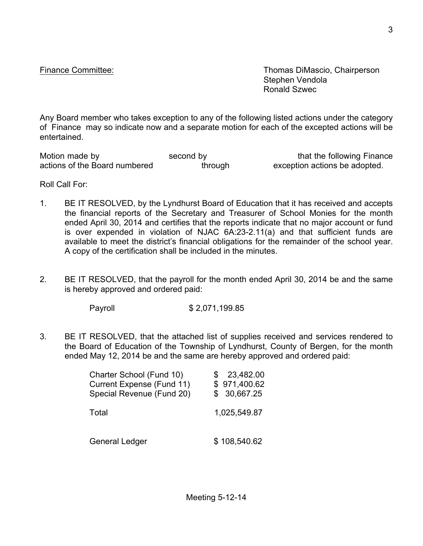Finance Committee: Thomas DiMascio, Chairperson Stephen Vendola Ronald Szwec

Any Board member who takes exception to any of the following listed actions under the category of Finance may so indicate now and a separate motion for each of the excepted actions will be entertained.

Motion made by second by second by that the following Finance actions of the Board numbered through exception actions be adopted.

Roll Call For:

- 1. BE IT RESOLVED, by the Lyndhurst Board of Education that it has received and accepts the financial reports of the Secretary and Treasurer of School Monies for the month ended April 30, 2014 and certifies that the reports indicate that no major account or fund is over expended in violation of NJAC 6A:23-2.11(a) and that sufficient funds are available to meet the district's financial obligations for the remainder of the school year. A copy of the certification shall be included in the minutes.
- 2. BE IT RESOLVED, that the payroll for the month ended April 30, 2014 be and the same is hereby approved and ordered paid:

Payroll \$ 2,071,199.85

3. BE IT RESOLVED, that the attached list of supplies received and services rendered to the Board of Education of the Township of Lyndhurst, County of Bergen, for the month ended May 12, 2014 be and the same are hereby approved and ordered paid:

| Charter School (Fund 10)  | 23,482.00    |
|---------------------------|--------------|
| Current Expense (Fund 11) | \$971,400.62 |
| Special Revenue (Fund 20) | \$30,667.25  |
| Total                     | 1,025,549.87 |
| General Ledger            | \$108,540.62 |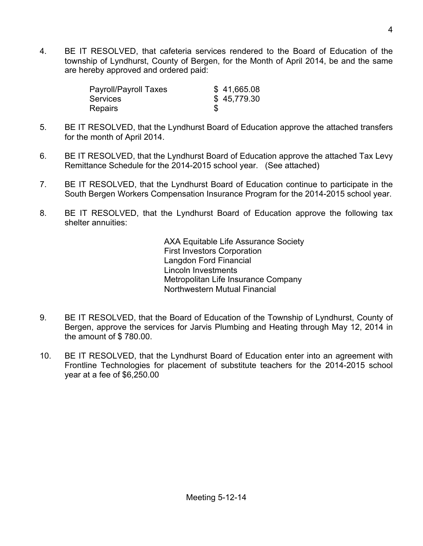4. BE IT RESOLVED, that cafeteria services rendered to the Board of Education of the township of Lyndhurst, County of Bergen, for the Month of April 2014, be and the same are hereby approved and ordered paid:

| Payroll/Payroll Taxes | \$41,665.08 |
|-----------------------|-------------|
| <b>Services</b>       | \$45,779.30 |
| <b>Repairs</b>        |             |

- 5. BE IT RESOLVED, that the Lyndhurst Board of Education approve the attached transfers for the month of April 2014.
- 6. BE IT RESOLVED, that the Lyndhurst Board of Education approve the attached Tax Levy Remittance Schedule for the 2014-2015 school year. (See attached)
- 7. BE IT RESOLVED, that the Lyndhurst Board of Education continue to participate in the South Bergen Workers Compensation Insurance Program for the 2014-2015 school year.
- 8. BE IT RESOLVED, that the Lyndhurst Board of Education approve the following tax shelter annuities:

AXA Equitable Life Assurance Society First Investors Corporation Langdon Ford Financial Lincoln Investments Metropolitan Life Insurance Company Northwestern Mutual Financial

- 9. BE IT RESOLVED, that the Board of Education of the Township of Lyndhurst, County of Bergen, approve the services for Jarvis Plumbing and Heating through May 12, 2014 in the amount of \$ 780.00.
- 10. BE IT RESOLVED, that the Lyndhurst Board of Education enter into an agreement with Frontline Technologies for placement of substitute teachers for the 2014-2015 school year at a fee of \$6,250.00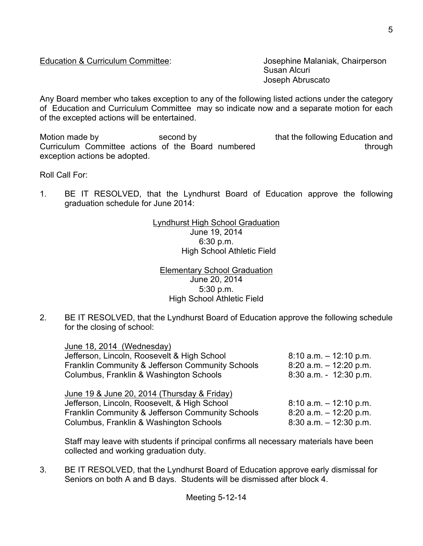### Education & Curriculum Committee: Josephine Malaniak, Chairperson

Susan Alcuri Joseph Abruscato

Any Board member who takes exception to any of the following listed actions under the category of Education and Curriculum Committee may so indicate now and a separate motion for each of the excepted actions will be entertained.

Motion made by **that is a second by** that the following Education and Curriculum Committee actions of the Board numbered through through exception actions be adopted.

Roll Call For:

1. BE IT RESOLVED, that the Lyndhurst Board of Education approve the following graduation schedule for June 2014:

> Lyndhurst High School Graduation June 19, 2014 6:30 p.m. High School Athletic Field

Elementary School Graduation June 20, 2014 5:30 p.m. High School Athletic Field

2. BE IT RESOLVED, that the Lyndhurst Board of Education approve the following schedule for the closing of school:

| June 18, 2014 (Wednesday)                        |                           |
|--------------------------------------------------|---------------------------|
| Jefferson, Lincoln, Roosevelt & High School      | $8:10$ a.m. $-12:10$ p.m. |
| Franklin Community & Jefferson Community Schools | $8:20$ a.m. $-12:20$ p.m. |
| Columbus, Franklin & Washington Schools          | $8:30$ a.m. - 12:30 p.m.  |
| June 19 & June 20, 2014 (Thursday & Friday)      |                           |
| Jefferson, Lincoln, Roosevelt, & High School     | $8:10$ a.m. $-12:10$ p.m. |
| Franklin Community & Jefferson Community Schools | $8:20$ a.m. $-12:20$ p.m. |
| Columbus, Franklin & Washington Schools          | $8:30$ a.m. $-12:30$ p.m. |

Staff may leave with students if principal confirms all necessary materials have been collected and working graduation duty.

3. BE IT RESOLVED, that the Lyndhurst Board of Education approve early dismissal for Seniors on both A and B days. Students will be dismissed after block 4.

5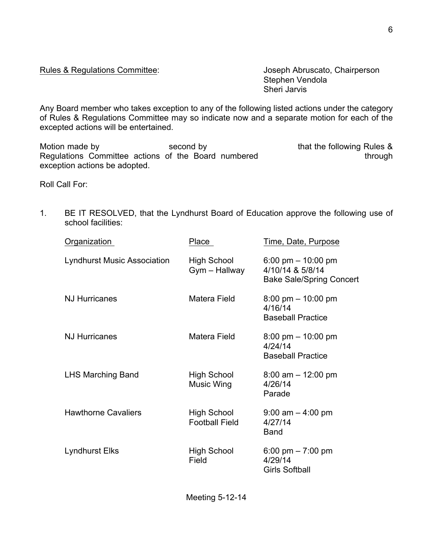#### Rules & Regulations Committee: Joseph Abruscato, Chairperson

Stephen Vendola Sheri Jarvis

Any Board member who takes exception to any of the following listed actions under the category of Rules & Regulations Committee may so indicate now and a separate motion for each of the excepted actions will be entertained.

Motion made by Second by Second by that the following Rules & Regulations Committee actions of the Board numbered through through exception actions be adopted.

Roll Call For:

1. BE IT RESOLVED, that the Lyndhurst Board of Education approve the following use of school facilities:

| Organization                       | Place                                       | Time, Date, Purpose                                                         |
|------------------------------------|---------------------------------------------|-----------------------------------------------------------------------------|
| <b>Lyndhurst Music Association</b> | <b>High School</b><br>Gym - Hallway         | 6:00 pm $-$ 10:00 pm<br>4/10/14 & 5/8/14<br><b>Bake Sale/Spring Concert</b> |
| <b>NJ Hurricanes</b>               | Matera Field                                | $8:00 \text{ pm} - 10:00 \text{ pm}$<br>4/16/14<br><b>Baseball Practice</b> |
| <b>NJ Hurricanes</b>               | Matera Field                                | $8:00 \text{ pm} - 10:00 \text{ pm}$<br>4/24/14<br><b>Baseball Practice</b> |
| <b>LHS Marching Band</b>           | <b>High School</b><br><b>Music Wing</b>     | $8:00$ am $-12:00$ pm<br>4/26/14<br>Parade                                  |
| <b>Hawthorne Cavaliers</b>         | <b>High School</b><br><b>Football Field</b> | $9:00$ am $-4:00$ pm<br>4/27/14<br><b>Band</b>                              |
| Lyndhurst Elks                     | <b>High School</b><br>Field                 | 6:00 pm $-7:00$ pm<br>4/29/14<br><b>Girls Softball</b>                      |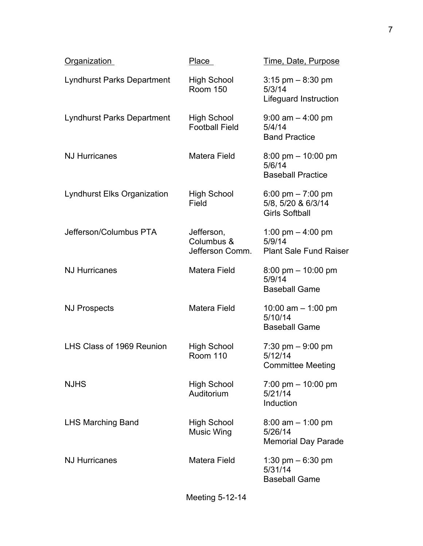| Organization                       | Place                                       | Time, Date, Purpose                                                        |
|------------------------------------|---------------------------------------------|----------------------------------------------------------------------------|
| <b>Lyndhurst Parks Department</b>  | <b>High School</b><br><b>Room 150</b>       | $3:15$ pm $-8:30$ pm<br>5/3/14<br><b>Lifeguard Instruction</b>             |
| Lyndhurst Parks Department         | High School<br><b>Football Field</b>        | $9:00$ am $-4:00$ pm<br>5/4/14<br><b>Band Practice</b>                     |
| <b>NJ Hurricanes</b>               | Matera Field                                | $8:00 \text{ pm} - 10:00 \text{ pm}$<br>5/6/14<br><b>Baseball Practice</b> |
| <b>Lyndhurst Elks Organization</b> | <b>High School</b><br>Field                 | 6:00 pm $- 7:00$ pm<br>5/8, 5/20 & 6/3/14<br><b>Girls Softball</b>         |
| Jefferson/Columbus PTA             | Jefferson,<br>Columbus &<br>Jefferson Comm. | 1:00 pm $-$ 4:00 pm<br>5/9/14<br><b>Plant Sale Fund Raiser</b>             |
| <b>NJ Hurricanes</b>               | Matera Field                                | $8:00 \text{ pm} - 10:00 \text{ pm}$<br>5/9/14<br><b>Baseball Game</b>     |
| <b>NJ Prospects</b>                | Matera Field                                | 10:00 am $-$ 1:00 pm<br>5/10/14<br><b>Baseball Game</b>                    |
| LHS Class of 1969 Reunion          | High School<br><b>Room 110</b>              | 7:30 pm $-9:00$ pm<br>5/12/14<br><b>Committee Meeting</b>                  |
| <b>NJHS</b>                        | High School<br>Auditorium                   | $7:00 \text{ pm} - 10:00 \text{ pm}$<br>5/21/14<br>Induction               |
| <b>LHS Marching Band</b>           | <b>High School</b><br><b>Music Wing</b>     | $8:00$ am $-1:00$ pm<br>5/26/14<br><b>Memorial Day Parade</b>              |
| <b>NJ Hurricanes</b>               | Matera Field                                | 1:30 pm $-6:30$ pm<br>5/31/14<br><b>Baseball Game</b>                      |
|                                    |                                             |                                                                            |

Meeting 5-12-14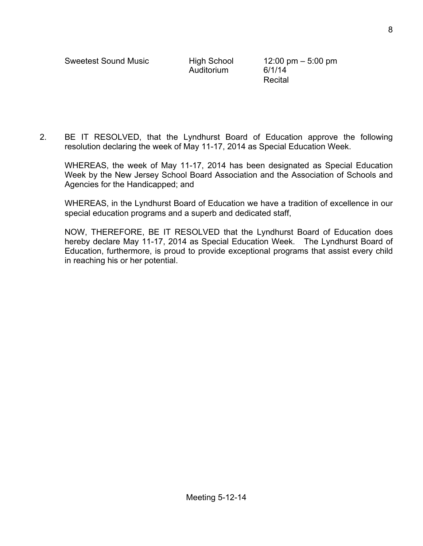Auditorium 6/1/14

Recital

2. BE IT RESOLVED, that the Lyndhurst Board of Education approve the following resolution declaring the week of May 11-17, 2014 as Special Education Week.

WHEREAS, the week of May 11-17, 2014 has been designated as Special Education Week by the New Jersey School Board Association and the Association of Schools and Agencies for the Handicapped; and

WHEREAS, in the Lyndhurst Board of Education we have a tradition of excellence in our special education programs and a superb and dedicated staff,

NOW, THEREFORE, BE IT RESOLVED that the Lyndhurst Board of Education does hereby declare May 11-17, 2014 as Special Education Week. The Lyndhurst Board of Education, furthermore, is proud to provide exceptional programs that assist every child in reaching his or her potential.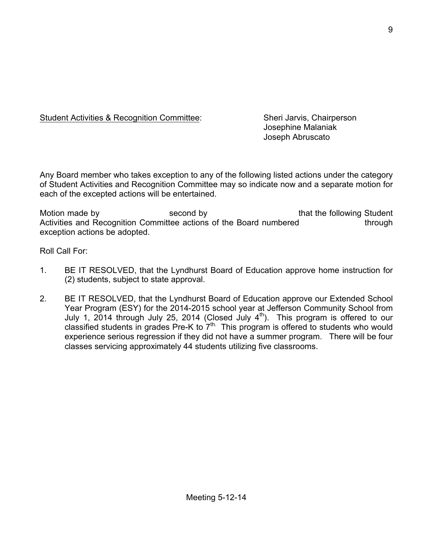Student Activities & Recognition Committee: Sheri Jarvis, Chairperson

Josephine Malaniak Joseph Abruscato

Any Board member who takes exception to any of the following listed actions under the category of Student Activities and Recognition Committee may so indicate now and a separate motion for each of the excepted actions will be entertained.

Motion made by **second by** second by that the following Student Activities and Recognition Committee actions of the Board numbered through exception actions be adopted.

Roll Call For:

- 1. BE IT RESOLVED, that the Lyndhurst Board of Education approve home instruction for (2) students, subject to state approval.
- 2. BE IT RESOLVED, that the Lyndhurst Board of Education approve our Extended School Year Program (ESY) for the 2014-2015 school year at Jefferson Community School from July 1, 2014 through July 25, 2014 (Closed July  $4<sup>th</sup>$ ). This program is offered to our classified students in grades Pre-K to  $7<sup>th</sup>$ . This program is offered to students who would experience serious regression if they did not have a summer program. There will be four classes servicing approximately 44 students utilizing five classrooms.